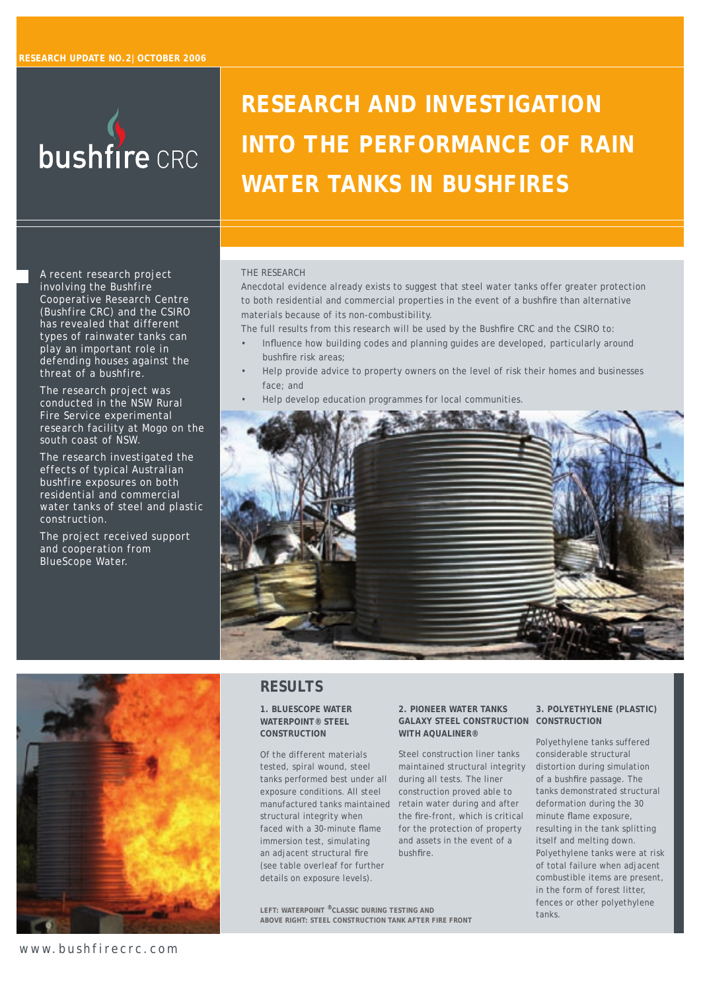# **bushfire** CRC

## **RESEARCH AND INVESTIGATION INTO THE PERFORMANCE OF RAIN WATER TANKS IN BUSHFIRES**

A recent research project involving the Bushfire Cooperative Research Centre (Bushfire CRC) and the CSIRO has revealed that different types of rainwater tanks can play an important role in defending houses against the threat of a bushfire.

The research project was conducted in the NSW Rural Fire Service experimental research facility at Mogo on the south coast of NSW.

The research investigated the effects of typical Australian bushfire exposures on both residential and commercial water tanks of steel and plastic construction.

The project received support and cooperation from BlueScope Water.

#### THE RESEARCH

•

Anecdotal evidence already exists to suggest that steel water tanks offer greater protection to both residential and commercial properties in the event of a bushfire than alternative materials because of its non-combustibility.

The full results from this research will be used by the Bushfire CRC and the CSIRO to:

- Influence how building codes and planning guides are developed, particularly around bushfire risk areas:
- Help provide advice to property owners on the level of risk their homes and businesses face; and •
- Help develop education programmes for local communities. •





#### **RESULTS**

**1. BLUESCOPE WATER WATERPOINT® STEEL CONSTRUCTION** 

Of the different materials tested, spiral wound, steel tanks performed best under all exposure conditions. All steel manufactured tanks maintained retain water during and after structural integrity when faced with a 30-minute flame immersion test, simulating an adjacent structural fire (see table overleaf for further details on exposure levels).

**LEFT: WATERPOINT ®CLASSIC DURING TESTING AND ABOVE RIGHT: STEEL CONSTRUCTION TANK AFTER FIRE FRONT**

#### **2. PIONEER WATER TANKS GALAXY STEEL CONSTRUCTION CONSTRUCTION WITH AQUALINER®**

Steel construction liner tanks maintained structural integrity distortion during simulation during all tests. The liner construction proved able to the fire-front, which is critical minute flame exposure, for the protection of property and assets in the event of a bushfire.

### **3. POLYETHYLENE (PLASTIC)**

Polyethylene tanks suffered considerable structural of a bushfire passage. The tanks demonstrated structural deformation during the 30 resulting in the tank splitting itself and melting down. Polyethylene tanks were at risk of total failure when adjacent combustible items are present, in the form of forest litter, fences or other polyethylene tanks.

www.bushfirecrc.com